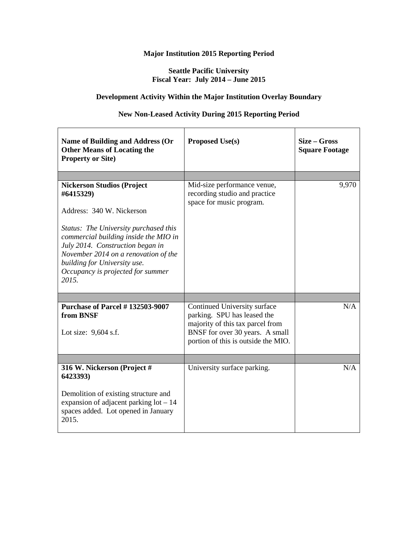#### **Seattle Pacific University Fiscal Year: July 2014 – June 2015**

#### **Development Activity Within the Major Institution Overlay Boundary**

#### **New Non-Leased Activity During 2015 Reporting Period**

| <b>Name of Building and Address (Or</b><br><b>Other Means of Locating the</b><br><b>Property or Site)</b>                                                                                                                                                                                                               | <b>Proposed Use(s)</b>                                                                                                                                                    | Size – Gross<br><b>Square Footage</b> |
|-------------------------------------------------------------------------------------------------------------------------------------------------------------------------------------------------------------------------------------------------------------------------------------------------------------------------|---------------------------------------------------------------------------------------------------------------------------------------------------------------------------|---------------------------------------|
|                                                                                                                                                                                                                                                                                                                         |                                                                                                                                                                           |                                       |
| <b>Nickerson Studios (Project</b><br>#6415329)<br>Address: 340 W. Nickerson<br>Status: The University purchased this<br>commercial building inside the MIO in<br>July 2014. Construction began in<br>November 2014 on a renovation of the<br>building for University use.<br>Occupancy is projected for summer<br>2015. | Mid-size performance venue,<br>recording studio and practice<br>space for music program.                                                                                  | 9,970                                 |
|                                                                                                                                                                                                                                                                                                                         |                                                                                                                                                                           |                                       |
| <b>Purchase of Parcel #132503-9007</b><br>from BNSF<br>Lot size: 9,604 s.f.                                                                                                                                                                                                                                             | Continued University surface<br>parking. SPU has leased the<br>majority of this tax parcel from<br>BNSF for over 30 years. A small<br>portion of this is outside the MIO. | N/A                                   |
|                                                                                                                                                                                                                                                                                                                         |                                                                                                                                                                           |                                       |
| 316 W. Nickerson (Project #<br>6423393)<br>Demolition of existing structure and<br>expansion of adjacent parking $lot - 14$<br>spaces added. Lot opened in January<br>2015.                                                                                                                                             | University surface parking.                                                                                                                                               | N/A                                   |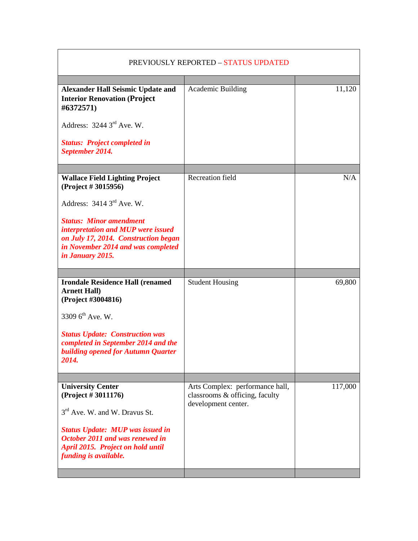| PREVIOUSLY REPORTED - STATUS UPDATED                                                                                                                                                                                                                    |                                                                                          |         |
|---------------------------------------------------------------------------------------------------------------------------------------------------------------------------------------------------------------------------------------------------------|------------------------------------------------------------------------------------------|---------|
| <b>Alexander Hall Seismic Update and</b><br><b>Interior Renovation (Project</b><br>#6372571)<br>Address: $3244.3rd$ Ave. W.<br><b>Status: Project completed in</b><br>September 2014.                                                                   | Academic Building                                                                        | 11,120  |
|                                                                                                                                                                                                                                                         |                                                                                          |         |
| <b>Wallace Field Lighting Project</b><br>(Project # 3015956)<br>Address: $3414 \, 3^{rd}$ Ave. W.<br><b>Status: Minor amendment</b><br>interpretation and MUP were issued<br>on July 17, 2014. Construction began<br>in November 2014 and was completed | <b>Recreation field</b>                                                                  | N/A     |
| in January 2015.                                                                                                                                                                                                                                        |                                                                                          |         |
|                                                                                                                                                                                                                                                         |                                                                                          |         |
| <b>Irondale Residence Hall (renamed)</b><br><b>Arnett Hall)</b><br>(Project #3004816)<br>3309 $6^{th}$ Ave. W.<br><b>Status Update: Construction was</b><br>completed in September 2014 and the<br><b>building opened for Autumn Quarter</b><br>2014.   | <b>Student Housing</b>                                                                   | 69,800  |
|                                                                                                                                                                                                                                                         |                                                                                          |         |
| <b>University Center</b><br>(Project # 3011176)<br>3 <sup>rd</sup> Ave. W. and W. Dravus St.<br><b>Status Update: MUP was issued in</b><br>October 2011 and was renewed in<br>April 2015. Project on hold until<br>funding is available.                | Arts Complex: performance hall,<br>classrooms & officing, faculty<br>development center. | 117,000 |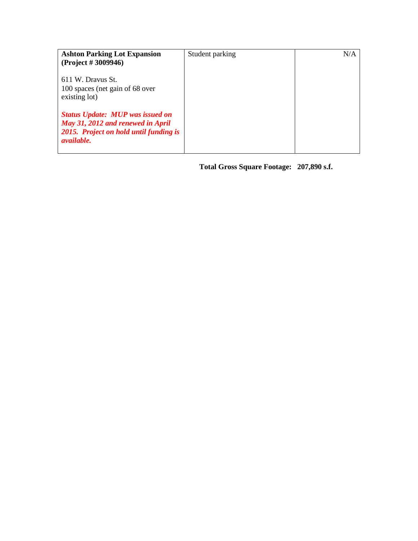| <b>Ashton Parking Lot Expansion</b>                                                                                                         | Student parking | N/A |
|---------------------------------------------------------------------------------------------------------------------------------------------|-----------------|-----|
| (Project # 3009946)                                                                                                                         |                 |     |
| 611 W. Dravus St.<br>100 spaces (net gain of 68 over<br>existing lot)                                                                       |                 |     |
| <b>Status Update: MUP was issued on</b><br>May 31, 2012 and renewed in April<br>2015. Project on hold until funding is<br><i>available.</i> |                 |     |

 **Total Gross Square Footage: 207,890 s.f.**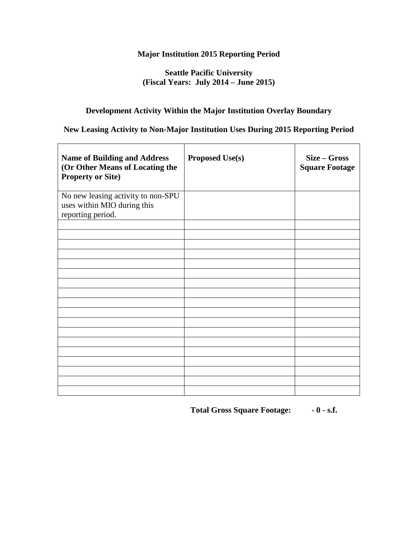#### **Seattle Pacific University (Fiscal Years: July 2014 – June 2015)**

#### **Development Activity Within the Major Institution Overlay Boundary**

## **New Leasing Activity to Non-Major Institution Uses During 2015 Reporting Period**

| <b>Proposed Use(s)</b> | Size - Gross<br><b>Square Footage</b> |
|------------------------|---------------------------------------|
|                        |                                       |
|                        |                                       |
|                        |                                       |
|                        |                                       |
|                        |                                       |
|                        |                                       |
|                        |                                       |

 **Total Gross Square Footage: - 0 - s.f.**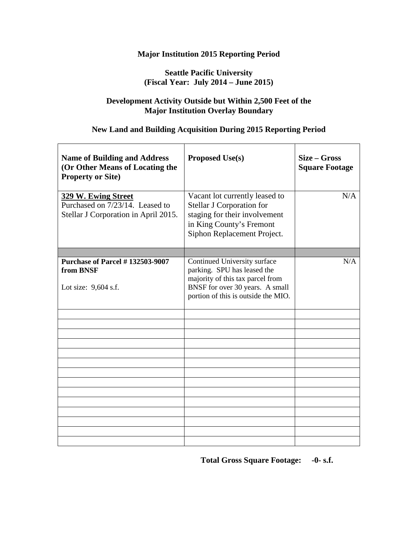## **Seattle Pacific University (Fiscal Year: July 2014 – June 2015)**

#### **Development Activity Outside but Within 2,500 Feet of the Major Institution Overlay Boundary**

## **New Land and Building Acquisition During 2015 Reporting Period**

| <b>Name of Building and Address</b><br>(Or Other Means of Locating the<br><b>Property or Site)</b> | <b>Proposed Use(s)</b>                                                                                                                                                    | Size – Gross<br><b>Square Footage</b> |
|----------------------------------------------------------------------------------------------------|---------------------------------------------------------------------------------------------------------------------------------------------------------------------------|---------------------------------------|
| 329 W. Ewing Street<br>Purchased on 7/23/14. Leased to<br>Stellar J Corporation in April 2015.     | Vacant lot currently leased to<br>Stellar J Corporation for<br>staging for their involvement<br>in King County's Fremont<br>Siphon Replacement Project.                   | N/A                                   |
|                                                                                                    |                                                                                                                                                                           |                                       |
| <b>Purchase of Parcel #132503-9007</b><br>from BNSF<br>Lot size: 9,604 s.f.                        | Continued University surface<br>parking. SPU has leased the<br>majority of this tax parcel from<br>BNSF for over 30 years. A small<br>portion of this is outside the MIO. | N/A                                   |
|                                                                                                    |                                                                                                                                                                           |                                       |
|                                                                                                    |                                                                                                                                                                           |                                       |
|                                                                                                    |                                                                                                                                                                           |                                       |
|                                                                                                    |                                                                                                                                                                           |                                       |
|                                                                                                    |                                                                                                                                                                           |                                       |
|                                                                                                    |                                                                                                                                                                           |                                       |
|                                                                                                    |                                                                                                                                                                           |                                       |
|                                                                                                    |                                                                                                                                                                           |                                       |
|                                                                                                    |                                                                                                                                                                           |                                       |
|                                                                                                    |                                                                                                                                                                           |                                       |
|                                                                                                    |                                                                                                                                                                           |                                       |
|                                                                                                    |                                                                                                                                                                           |                                       |
|                                                                                                    |                                                                                                                                                                           |                                       |

 **Total Gross Square Footage: -0- s.f.**